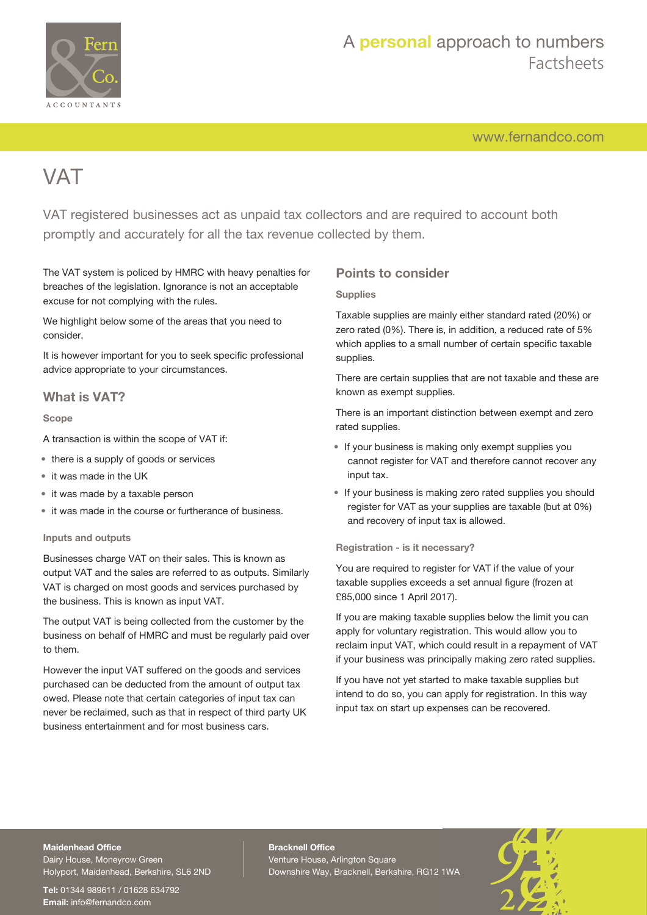

[www.fernandco.com](http://www.fernandco.com)

# **VAT**

VAT registered businesses act as unpaid tax collectors and are required to account both promptly and accurately for all the tax revenue collected by them.

The VAT system is policed by HMRC with heavy penalties for breaches of the legislation. Ignorance is not an acceptable excuse for not complying with the rules.

We highlight below some of the areas that you need to consider.

It is however important for you to seek specific professional advice appropriate to your circumstances.

## **What is VAT?**

#### **Scope**

A transaction is within the scope of VAT if:

- there is a supply of goods or services
- it was made in the UK
- it was made by a taxable person
- it was made in the course or furtherance of business.

#### **Inputs and outputs**

Businesses charge VAT on their sales. This is known as output VAT and the sales are referred to as outputs. Similarly VAT is charged on most goods and services purchased by the business. This is known as input VAT.

The output VAT is being collected from the customer by the business on behalf of HMRC and must be regularly paid over to them.

However the input VAT suffered on the goods and services purchased can be deducted from the amount of output tax owed. Please note that certain categories of input tax can never be reclaimed, such as that in respect of third party UK business entertainment and for most business cars.

### **Points to consider**

#### **Supplies**

Taxable supplies are mainly either standard rated (20%) or zero rated (0%). There is, in addition, a reduced rate of 5% which applies to a small number of certain specific taxable supplies.

There are certain supplies that are not taxable and these are known as exempt supplies.

There is an important distinction between exempt and zero rated supplies.

- If your business is making only exempt supplies you cannot register for VAT and therefore cannot recover any input tax.
- If your business is making zero rated supplies you should register for VAT as your supplies are taxable (but at 0%) and recovery of input tax is allowed.

**Registration - is it necessary?**

You are required to register for VAT if the value of your taxable supplies exceeds a set annual figure (frozen at £85,000 since 1 April 2017).

If you are making taxable supplies below the limit you can apply for voluntary registration. This would allow you to reclaim input VAT, which could result in a repayment of VAT if your business was principally making zero rated supplies.

If you have not yet started to make taxable supplies but intend to do so, you can apply for registration. In this way input tax on start up expenses can be recovered.

## **Maidenhead Office**

Dairy House, Moneyrow Green Holyport, Maidenhead, Berkshire, SL6 2ND

**Tel:** 01344 989611 / 01628 634792 **Email:** [info@fernandco.com](mailto:info@fernandco.com)

**Bracknell Office** Venture House, Arlington Square Downshire Way, Bracknell, Berkshire, RG12 1WA

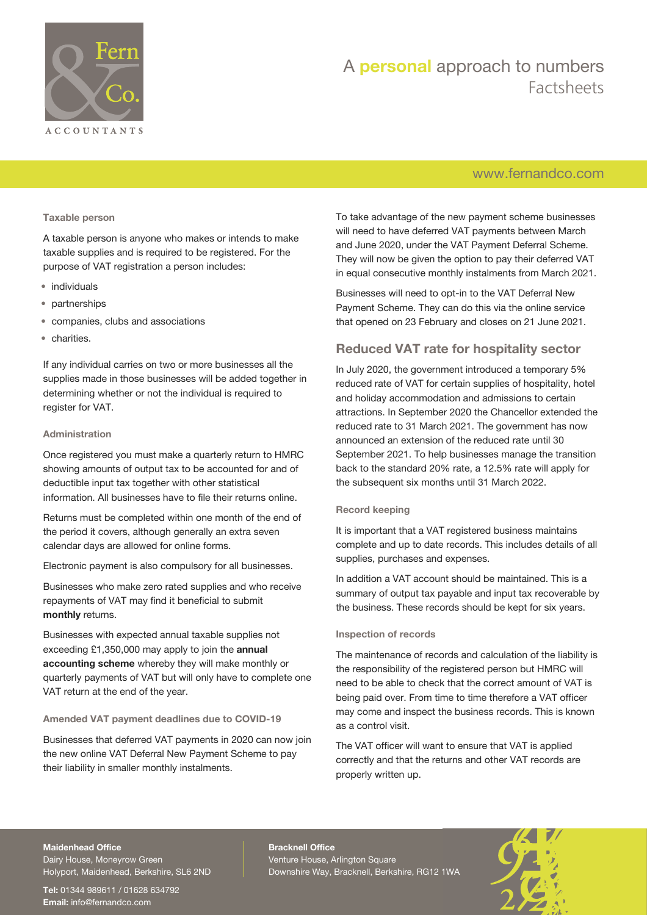

## A **personal** approach to numbers Factsheets

## [www.fernandco.com](http://www.fernandco.com)

#### **Taxable person**

A taxable person is anyone who makes or intends to make taxable supplies and is required to be registered. For the purpose of VAT registration a person includes:

- individuals
- partnerships
- companies, clubs and associations
- charities.

If any individual carries on two or more businesses all the supplies made in those businesses will be added together in determining whether or not the individual is required to register for VAT.

#### **Administration**

Once registered you must make a quarterly return to HMRC showing amounts of output tax to be accounted for and of deductible input tax together with other statistical information. All businesses have to file their returns online.

Returns must be completed within one month of the end of the period it covers, although generally an extra seven calendar days are allowed for online forms.

Electronic payment is also compulsory for all businesses.

Businesses who make zero rated supplies and who receive repayments of VAT may find it beneficial to submit **monthly** returns.

Businesses with expected annual taxable supplies not exceeding £1,350,000 may apply to join the **annual accounting scheme** whereby they will make monthly or quarterly payments of VAT but will only have to complete one VAT return at the end of the year.

#### **Amended VAT payment deadlines due to COVID-19**

Businesses that deferred VAT payments in 2020 can now join the new online VAT Deferral New Payment Scheme to pay their liability in smaller monthly instalments.

To take advantage of the new payment scheme businesses will need to have deferred VAT payments between March and June 2020, under the VAT Payment Deferral Scheme. They will now be given the option to pay their deferred VAT in equal consecutive monthly instalments from March 2021.

Businesses will need to opt-in to the VAT Deferral New Payment Scheme. They can do this via the online service that opened on 23 February and closes on 21 June 2021.

## **Reduced VAT rate for hospitality sector**

In July 2020, the government introduced a temporary 5% reduced rate of VAT for certain supplies of hospitality, hotel and holiday accommodation and admissions to certain attractions. In September 2020 the Chancellor extended the reduced rate to 31 March 2021. The government has now announced an extension of the reduced rate until 30 September 2021. To help businesses manage the transition back to the standard 20% rate, a 12.5% rate will apply for the subsequent six months until 31 March 2022.

#### **Record keeping**

It is important that a VAT registered business maintains complete and up to date records. This includes details of all supplies, purchases and expenses.

In addition a VAT account should be maintained. This is a summary of output tax payable and input tax recoverable by the business. These records should be kept for six years.

#### **Inspection of records**

The maintenance of records and calculation of the liability is the responsibility of the registered person but HMRC will need to be able to check that the correct amount of VAT is being paid over. From time to time therefore a VAT officer may come and inspect the business records. This is known as a control visit.

The VAT officer will want to ensure that VAT is applied correctly and that the returns and other VAT records are properly written up.

#### **Maidenhead Office**

Dairy House, Moneyrow Green Holyport, Maidenhead, Berkshire, SL6 2ND

**Tel:** 01344 989611 / 01628 634792 **Email:** [info@fernandco.com](mailto:info@fernandco.com)

**Bracknell Office** Venture House, Arlington Square Downshire Way, Bracknell, Berkshire, RG12 1WA